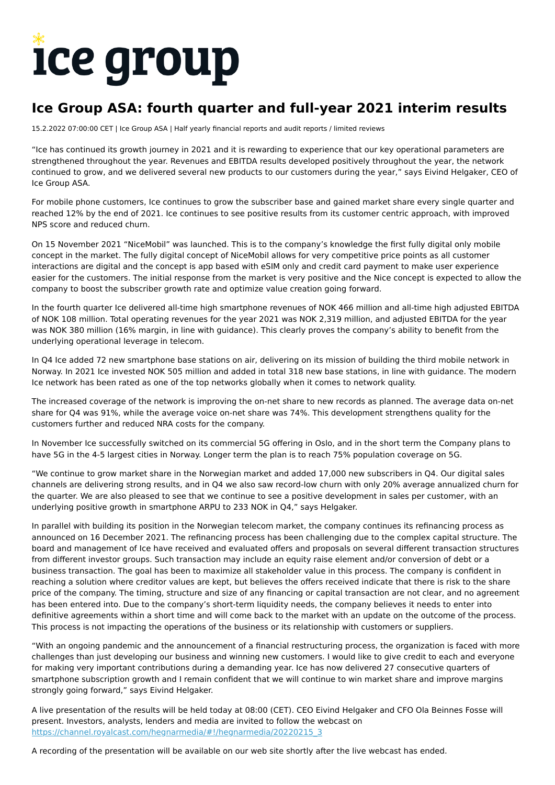# ice group

## **Ice Group ASA: fourth quarter and full-year 2021 interim results**

15.2.2022 07:00:00 CET | Ice Group ASA | Half yearly financial reports and audit reports / limited reviews

"Ice has continued its growth journey in 2021 and it is rewarding to experience that our key operational parameters are strengthened throughout the year. Revenues and EBITDA results developed positively throughout the year, the network continued to grow, and we delivered several new products to our customers during the year," says Eivind Helgaker, CEO of Ice Group ASA.

For mobile phone customers, Ice continues to grow the subscriber base and gained market share every single quarter and reached 12% by the end of 2021. Ice continues to see positive results from its customer centric approach, with improved NPS score and reduced churn.

On 15 November 2021 "NiceMobil" was launched. This is to the company's knowledge the first fully digital only mobile concept in the market. The fully digital concept of NiceMobil allows for very competitive price points as all customer interactions are digital and the concept is app based with eSIM only and credit card payment to make user experience easier for the customers. The initial response from the market is very positive and the Nice concept is expected to allow the company to boost the subscriber growth rate and optimize value creation going forward.

In the fourth quarter Ice delivered all-time high smartphone revenues of NOK 466 million and all-time high adjusted EBITDA of NOK 108 million. Total operating revenues for the year 2021 was NOK 2,319 million, and adjusted EBITDA for the year was NOK 380 million (16% margin, in line with guidance). This clearly proves the company's ability to benefit from the underlying operational leverage in telecom.

In Q4 Ice added 72 new smartphone base stations on air, delivering on its mission of building the third mobile network in Norway. In 2021 Ice invested NOK 505 million and added in total 318 new base stations, in line with guidance. The modern Ice network has been rated as one of the top networks globally when it comes to network quality.

The increased coverage of the network is improving the on-net share to new records as planned. The average data on-net share for Q4 was 91%, while the average voice on-net share was 74%. This development strengthens quality for the customers further and reduced NRA costs for the company.

In November Ice successfully switched on its commercial 5G offering in Oslo, and in the short term the Company plans to have 5G in the 4-5 largest cities in Norway. Longer term the plan is to reach 75% population coverage on 5G.

"We continue to grow market share in the Norwegian market and added 17,000 new subscribers in Q4. Our digital sales channels are delivering strong results, and in Q4 we also saw record-low churn with only 20% average annualized churn for the quarter. We are also pleased to see that we continue to see a positive development in sales per customer, with an underlying positive growth in smartphone ARPU to 233 NOK in Q4," says Helgaker.

In parallel with building its position in the Norwegian telecom market, the company continues its refinancing process as announced on 16 December 2021. The refinancing process has been challenging due to the complex capital structure. The board and management of Ice have received and evaluated offers and proposals on several different transaction structures from different investor groups. Such transaction may include an equity raise element and/or conversion of debt or a business transaction. The goal has been to maximize all stakeholder value in this process. The company is confident in reaching a solution where creditor values are kept, but believes the offers received indicate that there is risk to the share price of the company. The timing, structure and size of any financing or capital transaction are not clear, and no agreement has been entered into. Due to the company's short-term liquidity needs, the company believes it needs to enter into definitive agreements within a short time and will come back to the market with an update on the outcome of the process. This process is not impacting the operations of the business or its relationship with customers or suppliers.

"With an ongoing pandemic and the announcement of a financial restructuring process, the organization is faced with more challenges than just developing our business and winning new customers. I would like to give credit to each and everyone for making very important contributions during a demanding year. Ice has now delivered 27 consecutive quarters of smartphone subscription growth and I remain confident that we will continue to win market share and improve margins strongly going forward," says Eivind Helgaker.

A live presentation of the results will be held today at 08:00 (CET). CEO Eivind Helgaker and CFO Ola Beinnes Fosse will present. Investors, analysts, lenders and media are invited to follow the webcast on [https://channel.royalcast.com/hegnarmedia/#!/hegnarmedia/20220215\\_3](https://channel.royalcast.com/hegnarmedia/#!/hegnarmedia/20220215_3)

A recording of the presentation will be available on our web site shortly after the live webcast has ended.